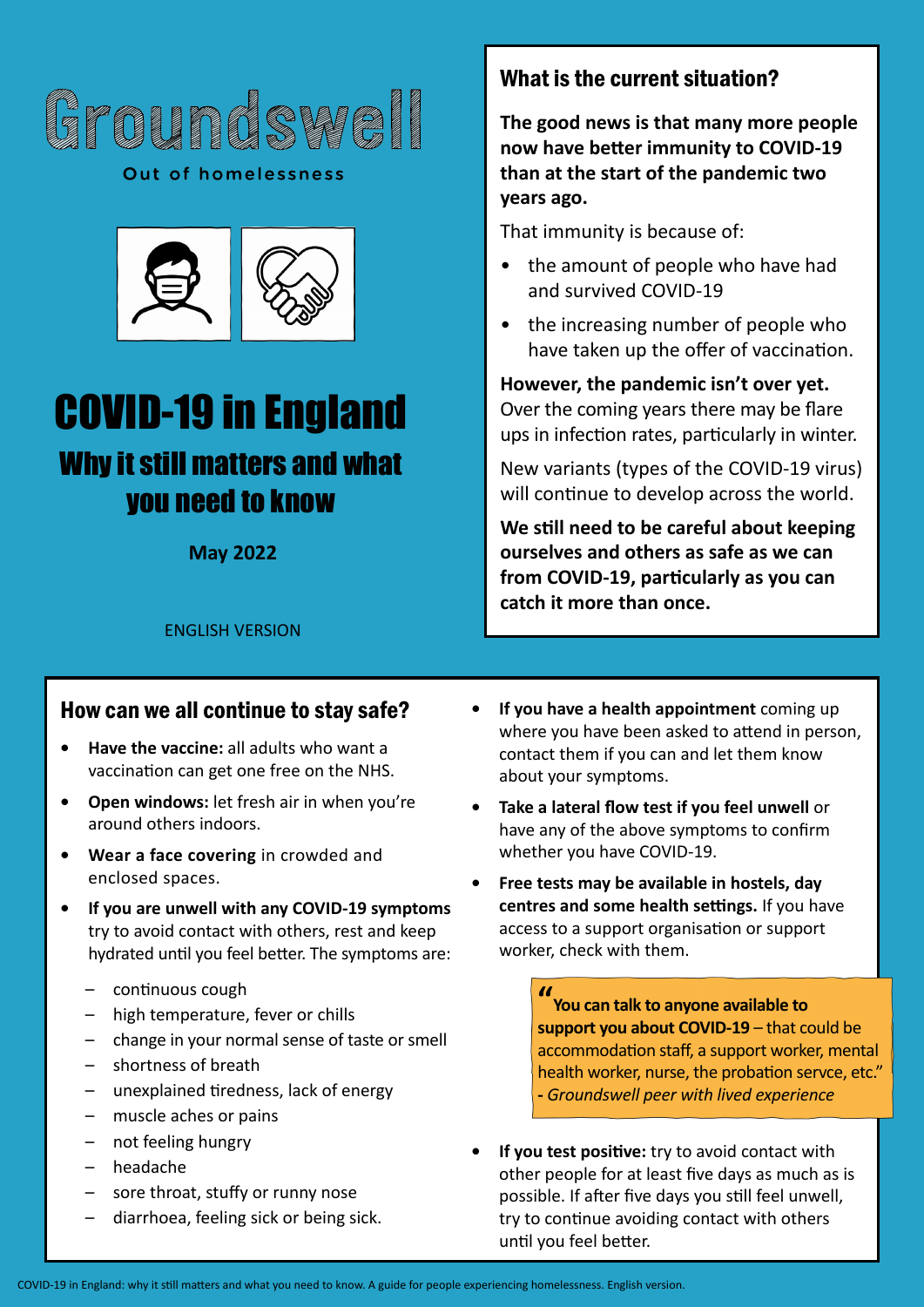

Out of homelessness



# COVID-19 in England Why it still matters and what you need to know

**May 2022**

## What is the current situation?

**The good news is that many more people now have better immunity to COVID-19 than at the start of the pandemic two years ago.**

That immunity is because of:

- the amount of people who have had and survived COVID-19
- the increasing number of people who have taken up the offer of vaccination.

**However, the pandemic isn't over yet.** Over the coming years there may be flare ups in infection rates, particularly in winter.

New variants (types of the COVID-19 virus) will continue to develop across the world.

**We still need to be careful about keeping ourselves and others as safe as we can from COVID-19, particularly as you can catch it more than once.**

ENGLISH VERSION

#### How can we all continue to stay safe?

- **• Have the vaccine:** all adults who want a vaccination can get one free on the NHS.
- **• Open windows:** let fresh air in when you're around others indoors.
- **• Wear a face covering** in crowded and enclosed spaces.
- **• If you are unwell with any COVID-19 symptoms** try to avoid contact with others, rest and keep hydrated until you feel better. The symptoms are:
	- continuous cough
	- high temperature, fever or chills
	- change in your normal sense of taste or smell
	- shortness of breath
	- unexplained tiredness, lack of energy
	- muscle aches or pains
	- not feeling hungry
	- headache
	- sore throat, stuffy or runny nose
	- diarrhoea, feeling sick or being sick.
- **• If you have a health appointment** coming up where you have been asked to attend in person, contact them if you can and let them know about your symptoms.
- **• Take a lateral flow test if you feel unwell** or have any of the above symptoms to confirm whether you have COVID-19.
- **• Free tests may be available in hostels, day centres and some health settings.** If you have access to a support organisation or support worker, check with them.

**G<sup>r</sup>ound<sup>s</sup>wel<sup>l</sup> -** *Groundswell peer with lived experience* **G**<br>**S**<br>**B** a lth worker, nurse, the probation servee, etc<sup>*y*</sup> **" You can talk to anyone available to support you about COVID-19** – that could be health worker, nurse, the probation servce, etc."

**<sup>O</sup>u<sup>t</sup> <sup>o</sup><sup>f</sup> <sup>h</sup>omelessnes<sup>s</sup>** possible. If after five days you still feel unwell, **•** If you test positive: try to avoid contact with<br> **•** other people for at least five days as much as is **<sup>O</sup>u<sup>t</sup> <sup>o</sup><sup>f</sup> <sup>h</sup>omelessnes<sup>s</sup>** other people for at least five days as much as is try to continue avoiding contact with others until you feel better.

COVID-19 in England: why it still matters and what you need to know. A guide for people experiencing homelessness. English version.